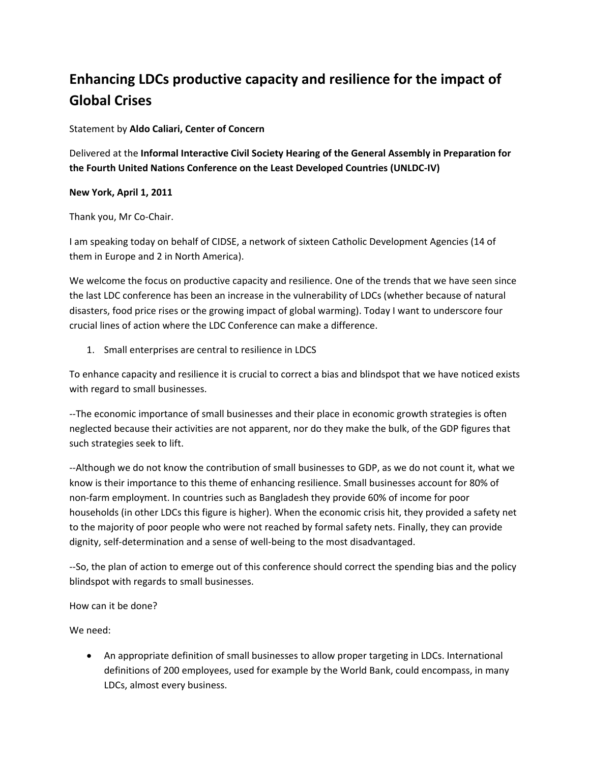## **Enhancing LDCs productive capacity and resilience for the impact of Global Crises**

Statement by **Aldo Caliari, Center of Concern**

Delivered at the **Informal Interactive Civil Society Hearing of the General Assembly in Preparation for the Fourth United Nations Conference on the Least Developed Countries (UNLDC‐IV)**

## **New York, April 1, 2011**

Thank you, Mr Co‐Chair.

I am speaking today on behalf of CIDSE, a network of sixteen Catholic Development Agencies (14 of them in Europe and 2 in North America).

We welcome the focus on productive capacity and resilience. One of the trends that we have seen since the last LDC conference has been an increase in the vulnerability of LDCs (whether because of natural disasters, food price rises or the growing impact of global warming). Today I want to underscore four crucial lines of action where the LDC Conference can make a difference.

1. Small enterprises are central to resilience in LDCS

To enhance capacity and resilience it is crucial to correct a bias and blindspot that we have noticed exists with regard to small businesses.

‐‐The economic importance of small businesses and their place in economic growth strategies is often neglected because their activities are not apparent, nor do they make the bulk, of the GDP figures that such strategies seek to lift.

‐‐Although we do not know the contribution of small businesses to GDP, as we do not count it, what we know is their importance to this theme of enhancing resilience. Small businesses account for 80% of non‐farm employment. In countries such as Bangladesh they provide 60% of income for poor households (in other LDCs this figure is higher). When the economic crisis hit, they provided a safety net to the majority of poor people who were not reached by formal safety nets. Finally, they can provide dignity, self‐determination and a sense of well‐being to the most disadvantaged.

‐‐So, the plan of action to emerge out of this conference should correct the spending bias and the policy blindspot with regards to small businesses.

How can it be done?

We need:

• An appropriate definition of small businesses to allow proper targeting in LDCs. International definitions of 200 employees, used for example by the World Bank, could encompass, in many LDCs, almost every business.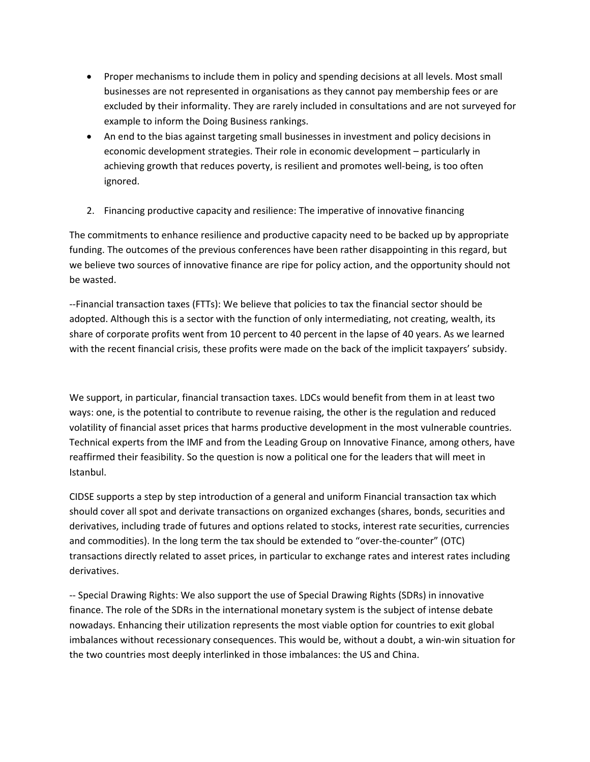- Proper mechanisms to include them in policy and spending decisions at all levels. Most small businesses are not represented in organisations as they cannot pay membership fees or are excluded by their informality. They are rarely included in consultations and are not surveyed for example to inform the Doing Business rankings.
- An end to the bias against targeting small businesses in investment and policy decisions in economic development strategies. Their role in economic development – particularly in achieving growth that reduces poverty, is resilient and promotes well‐being, is too often ignored.
- 2. Financing productive capacity and resilience: The imperative of innovative financing

The commitments to enhance resilience and productive capacity need to be backed up by appropriate funding. The outcomes of the previous conferences have been rather disappointing in this regard, but we believe two sources of innovative finance are ripe for policy action, and the opportunity should not be wasted.

‐‐Financial transaction taxes (FTTs): We believe that policies to tax the financial sector should be adopted. Although this is a sector with the function of only intermediating, not creating, wealth, its share of corporate profits went from 10 percent to 40 percent in the lapse of 40 years. As we learned with the recent financial crisis, these profits were made on the back of the implicit taxpayers' subsidy.

We support, in particular, financial transaction taxes. LDCs would benefit from them in at least two ways: one, is the potential to contribute to revenue raising, the other is the regulation and reduced volatility of financial asset prices that harms productive development in the most vulnerable countries. Technical experts from the IMF and from the Leading Group on Innovative Finance, among others, have reaffirmed their feasibility. So the question is now a political one for the leaders that will meet in Istanbul.

CIDSE supports a step by step introduction of a general and uniform Financial transaction tax which should cover all spot and derivate transactions on organized exchanges (shares, bonds, securities and derivatives, including trade of futures and options related to stocks, interest rate securities, currencies and commodities). In the long term the tax should be extended to "over-the-counter" (OTC) transactions directly related to asset prices, in particular to exchange rates and interest rates including derivatives.

‐‐ Special Drawing Rights: We also support the use of Special Drawing Rights (SDRs) in innovative finance. The role of the SDRs in the international monetary system is the subject of intense debate nowadays. Enhancing their utilization represents the most viable option for countries to exit global imbalances without recessionary consequences. This would be, without a doubt, a win‐win situation for the two countries most deeply interlinked in those imbalances: the US and China.